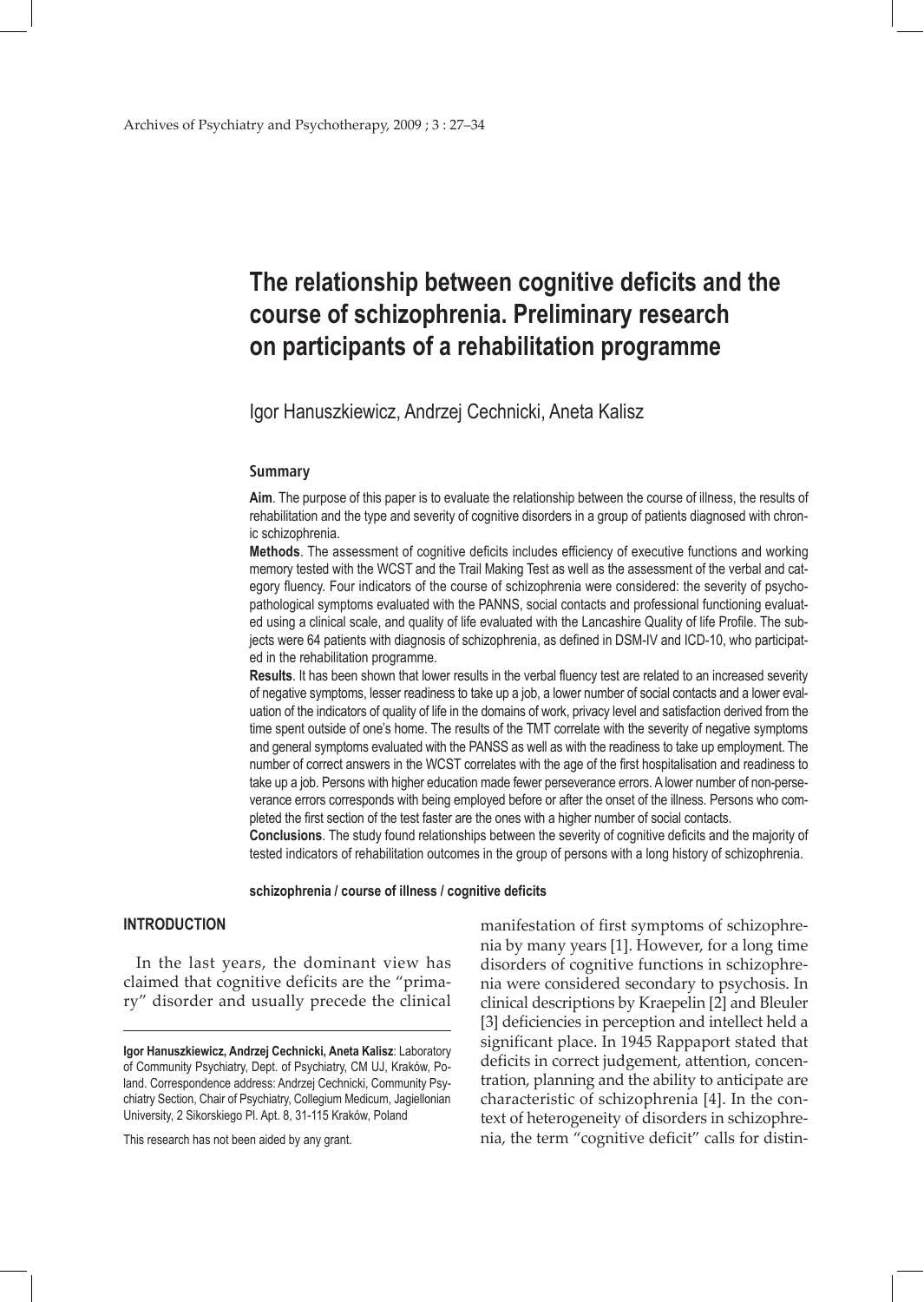# **The relationship between cognitive deficits and the course of schizophrenia. Preliminary research on participants of a rehabilitation programme**

Igor Hanuszkiewicz, Andrzej Cechnicki, Aneta Kalisz

#### **Summary**

**Aim**. The purpose of this paper is to evaluate the relationship between the course of illness, the results of rehabilitation and the type and severity of cognitive disorders in a group of patients diagnosed with chronic schizophrenia.

**Methods**. The assessment of cognitive deficits includes efficiency of executive functions and working memory tested with the WCST and the Trail Making Test as well as the assessment of the verbal and category fluency. Four indicators of the course of schizophrenia were considered: the severity of psychopathological symptoms evaluated with the PANNS, social contacts and professional functioning evaluated using a clinical scale, and quality of life evaluated with the Lancashire Quality of life Profile. The subjects were 64 patients with diagnosis of schizophrenia, as defined in DSM-IV and ICD-10, who participated in the rehabilitation programme.

**Results**. It has been shown that lower results in the verbal fluency test are related to an increased severity of negative symptoms, lesser readiness to take up a job, a lower number of social contacts and a lower evaluation of the indicators of quality of life in the domains of work, privacy level and satisfaction derived from the time spent outside of one's home. The results of the TMT correlate with the severity of negative symptoms and general symptoms evaluated with the PANSS as well as with the readiness to take up employment. The number of correct answers in the WCST correlates with the age of the first hospitalisation and readiness to take up a job. Persons with higher education made fewer perseverance errors. A lower number of non-perseverance errors corresponds with being employed before or after the onset of the illness. Persons who completed the first section of the test faster are the ones with a higher number of social contacts.

**Conclusions**. The study found relationships between the severity of cognitive deficits and the majority of tested indicators of rehabilitation outcomes in the group of persons with a long history of schizophrenia.

**schizophrenia / course of illness / cognitive deficits**

## **INTRODUCTION**

In the last years, the dominant view has claimed that cognitive deficits are the "primary" disorder and usually precede the clinical

This research has not been aided by any grant.

manifestation of first symptoms of schizophrenia by many years [1]. However, for a long time disorders of cognitive functions in schizophrenia were considered secondary to psychosis. In clinical descriptions by Kraepelin [2] and Bleuler [3] deficiencies in perception and intellect held a significant place. In 1945 Rappaport stated that deficits in correct judgement, attention, concentration, planning and the ability to anticipate are characteristic of schizophrenia [4]. In the context of heterogeneity of disorders in schizophrenia, the term "cognitive deficit" calls for distin-

**Igor Hanuszkiewicz, Andrzej Cechnicki, Aneta Kalisz**: Laboratory of Community Psychiatry, Dept. of Psychiatry, CM UJ, Kraków, Poland. Correspondence address: Andrzej Cechnicki, Community Psychiatry Section, Chair of Psychiatry, Collegium Medicum, Jagiellonian University, 2 Sikorskiego Pl. Apt. 8, 31-115 Kraków, Poland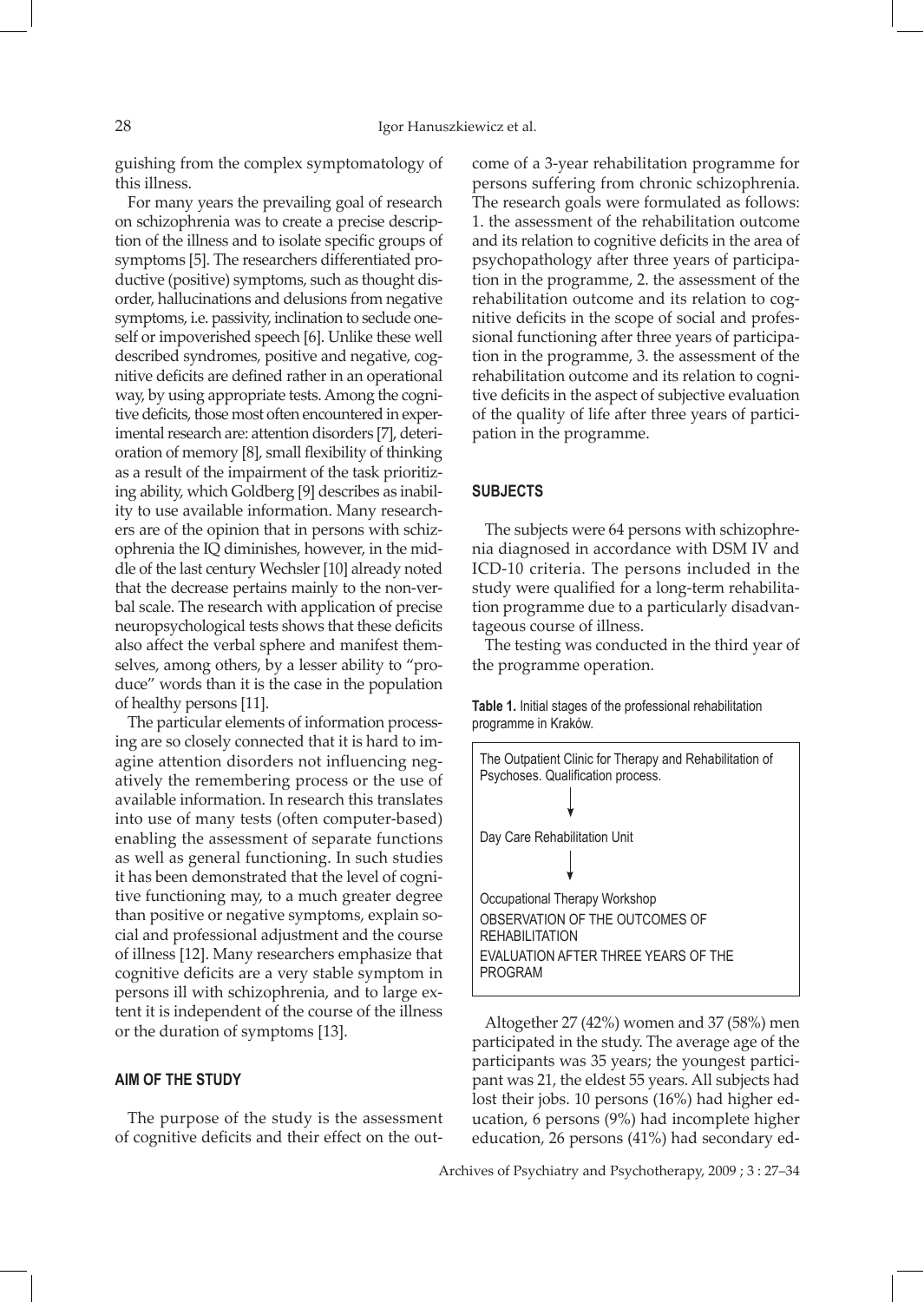guishing from the complex symptomatology of this illness.

For many years the prevailing goal of research on schizophrenia was to create a precise description of the illness and to isolate specific groups of symptoms [5]. The researchers differentiated productive (positive) symptoms, such as thought disorder, hallucinations and delusions from negative symptoms, i.e. passivity, inclination to seclude oneself or impoverished speech [6]. Unlike these well described syndromes, positive and negative, cognitive deficits are defined rather in an operational way, by using appropriate tests. Among the cognitive deficits, those most often encountered in experimental research are: attention disorders [7], deterioration of memory [8], small flexibility of thinking as a result of the impairment of the task prioritizing ability, which Goldberg [9] describes as inability to use available information. Many researchers are of the opinion that in persons with schizophrenia the IQ diminishes, however, in the middle of the last century Wechsler [10] already noted that the decrease pertains mainly to the non-verbal scale. The research with application of precise neuropsychological tests shows that these deficits also affect the verbal sphere and manifest themselves, among others, by a lesser ability to "produce" words than it is the case in the population of healthy persons [11].

The particular elements of information processing are so closely connected that it is hard to imagine attention disorders not influencing negatively the remembering process or the use of available information. In research this translates into use of many tests (often computer-based) enabling the assessment of separate functions as well as general functioning. In such studies it has been demonstrated that the level of cognitive functioning may, to a much greater degree than positive or negative symptoms, explain social and professional adjustment and the course of illness [12]. Many researchers emphasize that cognitive deficits are a very stable symptom in persons ill with schizophrenia, and to large extent it is independent of the course of the illness or the duration of symptoms [13].

#### **AIM OF THE STUDY**

The purpose of the study is the assessment of cognitive deficits and their effect on the outcome of a 3-year rehabilitation programme for persons suffering from chronic schizophrenia. The research goals were formulated as follows: 1. the assessment of the rehabilitation outcome and its relation to cognitive deficits in the area of psychopathology after three years of participation in the programme, 2. the assessment of the rehabilitation outcome and its relation to cognitive deficits in the scope of social and professional functioning after three years of participation in the programme, 3. the assessment of the rehabilitation outcome and its relation to cognitive deficits in the aspect of subjective evaluation of the quality of life after three years of participation in the programme.

#### **SUBJECTS**

The subjects were 64 persons with schizophrenia diagnosed in accordance with DSM IV and ICD-10 criteria. The persons included in the study were qualified for a long-term rehabilitation programme due to a particularly disadvantageous course of illness.

The testing was conducted in the third year of the programme operation.





Altogether 27 (42%) women and 37 (58%) men participated in the study. The average age of the participants was 35 years; the youngest participant was 21, the eldest 55 years. All subjects had lost their jobs. 10 persons (16%) had higher education, 6 persons (9%) had incomplete higher education, 26 persons (41%) had secondary ed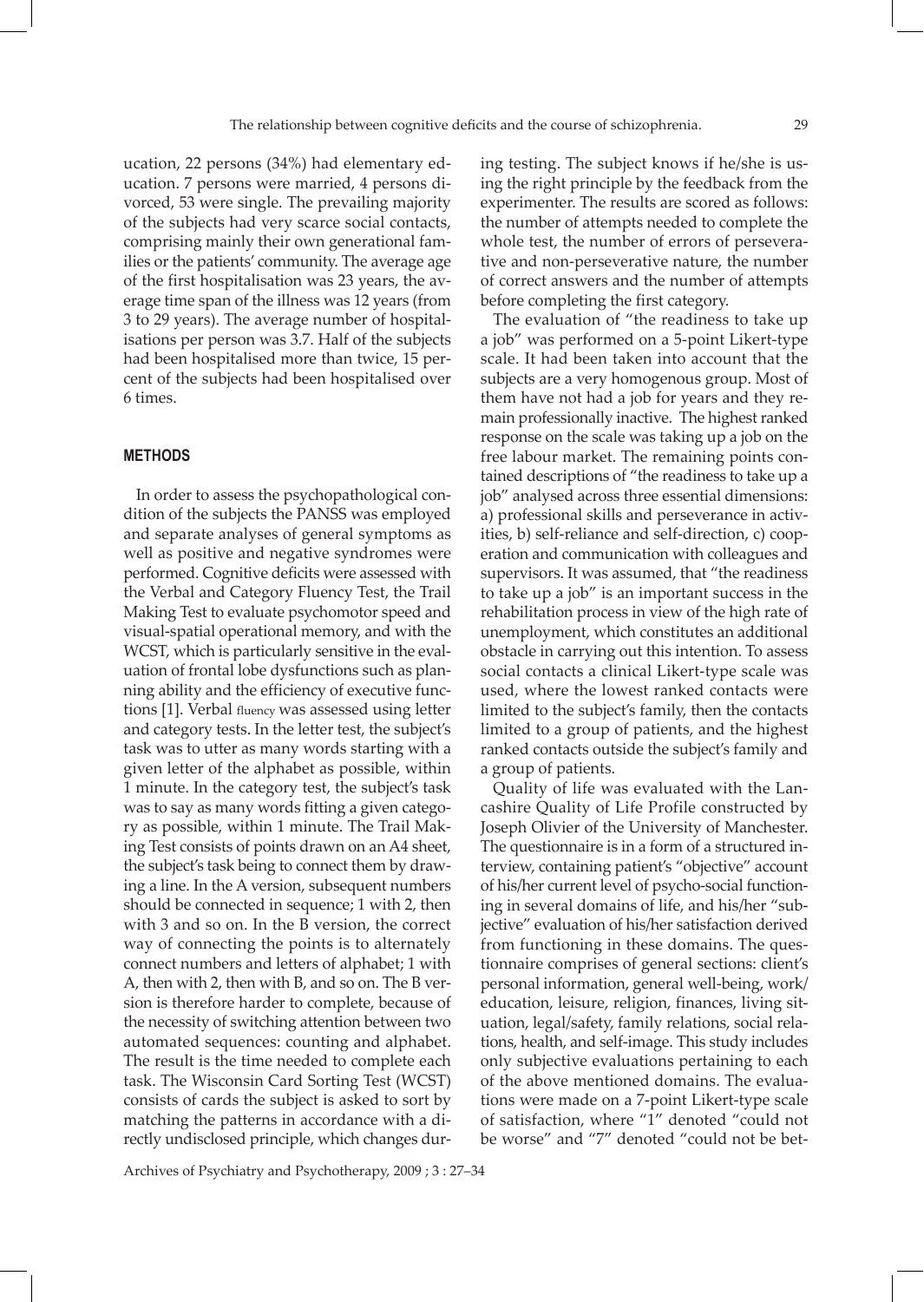ucation, 22 persons (34%) had elementary education. 7 persons were married, 4 persons divorced, 53 were single. The prevailing majority of the subjects had very scarce social contacts, comprising mainly their own generational families or the patients' community. The average age of the first hospitalisation was 23 years, the average time span of the illness was 12 years (from 3 to 29 years). The average number of hospitalisations per person was 3.7. Half of the subjects had been hospitalised more than twice, 15 percent of the subjects had been hospitalised over 6 times.

#### **METHODS**

In order to assess the psychopathological condition of the subjects the PANSS was employed and separate analyses of general symptoms as well as positive and negative syndromes were performed. Cognitive deficits were assessed with the Verbal and Category Fluency Test, the Trail Making Test to evaluate psychomotor speed and visual-spatial operational memory, and with the WCST, which is particularly sensitive in the evaluation of frontal lobe dysfunctions such as planning ability and the efficiency of executive functions [1]. Verbal fluency was assessed using letter and category tests. In the letter test, the subject's task was to utter as many words starting with a given letter of the alphabet as possible, within 1 minute. In the category test, the subject's task was to say as many words fitting a given category as possible, within 1 minute. The Trail Making Test consists of points drawn on an A4 sheet, the subject's task being to connect them by drawing a line. In the A version, subsequent numbers should be connected in sequence; 1 with 2, then with 3 and so on. In the B version, the correct way of connecting the points is to alternately connect numbers and letters of alphabet; 1 with A, then with 2, then with B, and so on. The B version is therefore harder to complete, because of the necessity of switching attention between two automated sequences: counting and alphabet. The result is the time needed to complete each task. The Wisconsin Card Sorting Test (WCST) consists of cards the subject is asked to sort by matching the patterns in accordance with a directly undisclosed principle, which changes during testing. The subject knows if he/she is using the right principle by the feedback from the experimenter. The results are scored as follows: the number of attempts needed to complete the whole test, the number of errors of perseverative and non-perseverative nature, the number of correct answers and the number of attempts before completing the first category.

The evaluation of "the readiness to take up a job" was performed on a 5-point Likert-type scale. It had been taken into account that the subjects are a very homogenous group. Most of them have not had a job for years and they remain professionally inactive. The highest ranked response on the scale was taking up a job on the free labour market. The remaining points contained descriptions of "the readiness to take up a job" analysed across three essential dimensions: a) professional skills and perseverance in activities, b) self-reliance and self-direction, c) cooperation and communication with colleagues and supervisors. It was assumed, that "the readiness to take up a job" is an important success in the rehabilitation process in view of the high rate of unemployment, which constitutes an additional obstacle in carrying out this intention. To assess social contacts a clinical Likert-type scale was used, where the lowest ranked contacts were limited to the subject's family, then the contacts limited to a group of patients, and the highest ranked contacts outside the subject's family and a group of patients.

Quality of life was evaluated with the Lancashire Quality of Life Profile constructed by Joseph Olivier of the University of Manchester. The questionnaire is in a form of a structured interview, containing patient's "objective" account of his/her current level of psycho-social functioning in several domains of life, and his/her "subjective" evaluation of his/her satisfaction derived from functioning in these domains. The questionnaire comprises of general sections: client's personal information, general well-being, work/ education, leisure, religion, finances, living situation, legal/safety, family relations, social relations, health, and self-image. This study includes only subjective evaluations pertaining to each of the above mentioned domains. The evaluations were made on a 7-point Likert-type scale of satisfaction, where "1" denoted "could not be worse" and "7" denoted "could not be bet-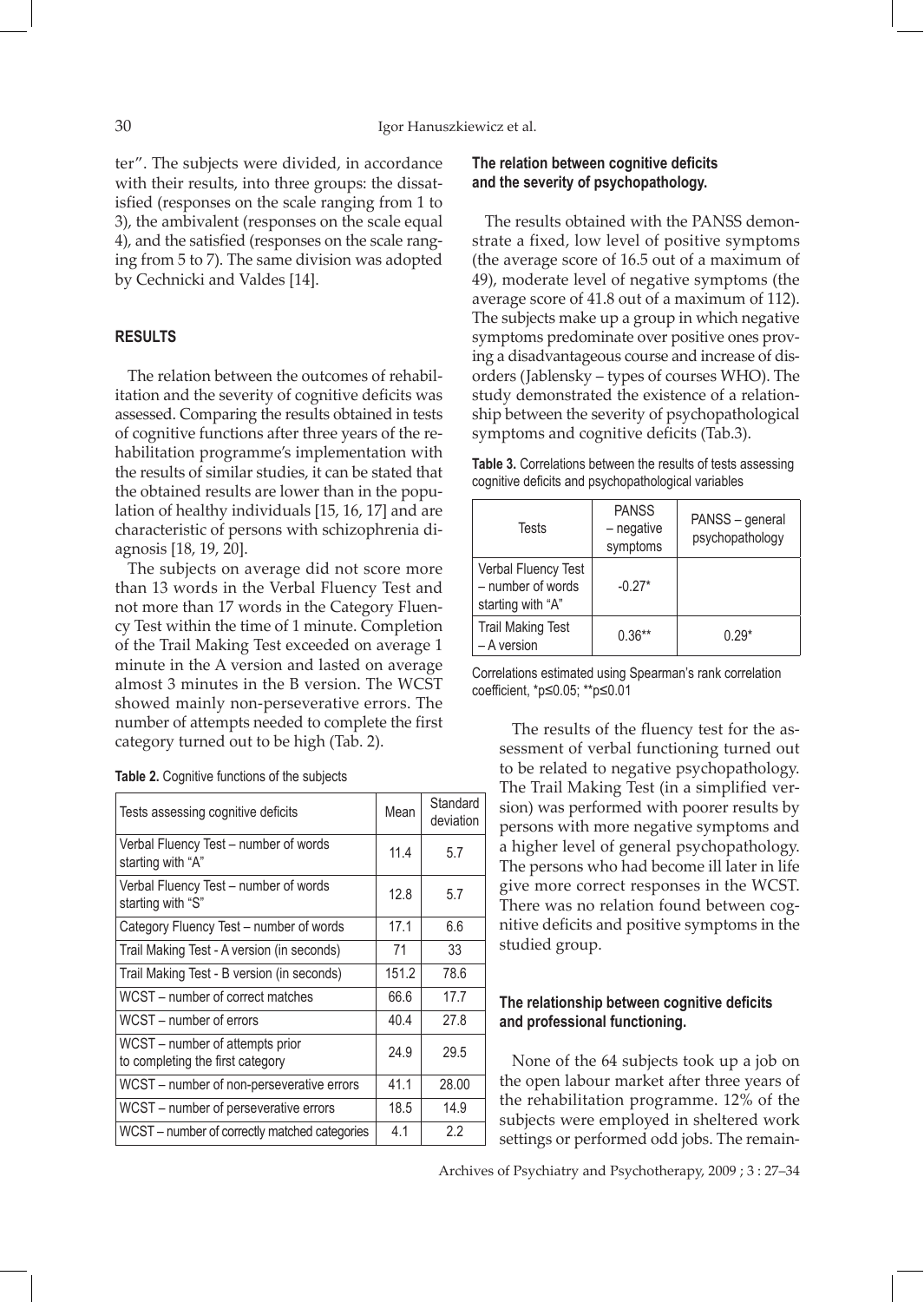ter". The subjects were divided, in accordance with their results, into three groups: the dissatisfied (responses on the scale ranging from 1 to 3), the ambivalent (responses on the scale equal 4), and the satisfied (responses on the scale ranging from 5 to 7). The same division was adopted by Cechnicki and Valdes [14].

# **RESULTS**

The relation between the outcomes of rehabilitation and the severity of cognitive deficits was assessed. Comparing the results obtained in tests of cognitive functions after three years of the rehabilitation programme's implementation with the results of similar studies, it can be stated that the obtained results are lower than in the population of healthy individuals [15, 16, 17] and are characteristic of persons with schizophrenia diagnosis [18, 19, 20].

The subjects on average did not score more than 13 words in the Verbal Fluency Test and not more than 17 words in the Category Fluency Test within the time of 1 minute. Completion of the Trail Making Test exceeded on average 1 minute in the A version and lasted on average almost 3 minutes in the B version. The WCST showed mainly non-perseverative errors. The number of attempts needed to complete the first category turned out to be high (Tab. 2).

| Tests assessing cognitive deficits                                  | Mean  | Standard<br>deviation |
|---------------------------------------------------------------------|-------|-----------------------|
| Verbal Fluency Test - number of words<br>starting with "A"          | 11.4  | 5.7                   |
| Verbal Fluency Test - number of words<br>starting with "S"          | 12.8  | 5.7                   |
| Category Fluency Test - number of words                             | 17.1  | 6.6                   |
| Trail Making Test - A version (in seconds)                          | 71    | 33                    |
| Trail Making Test - B version (in seconds)                          | 151.2 | 78.6                  |
| WCST – number of correct matches                                    | 66.6  | 17.7                  |
| WCST - number of errors                                             | 40.4  | 27.8                  |
| WCST - number of attempts prior<br>to completing the first category | 24.9  | 29.5                  |
| WCST - number of non-perseverative errors                           | 41.1  | 28.00                 |
| WCST - number of perseverative errors                               | 18.5  | 14.9                  |
| WCST – number of correctly matched categories                       | 4.1   | 2.2                   |

# **The relation between cognitive deficits and the severity of psychopathology.**

The results obtained with the PANSS demonstrate a fixed, low level of positive symptoms (the average score of 16.5 out of a maximum of 49), moderate level of negative symptoms (the average score of 41.8 out of a maximum of 112). The subjects make up a group in which negative symptoms predominate over positive ones proving a disadvantageous course and increase of disorders (Jablensky – types of courses WHO). The study demonstrated the existence of a relationship between the severity of psychopathological symptoms and cognitive deficits (Tab.3).

| <b>Table 3.</b> Correlations between the results of tests assessing |  |  |
|---------------------------------------------------------------------|--|--|
| cognitive deficits and psychopathological variables                 |  |  |

| Tests                                                         | <b>PANSS</b><br>- negative<br>symptoms | PANSS - general<br>psychopathology |
|---------------------------------------------------------------|----------------------------------------|------------------------------------|
| Verbal Fluency Test<br>- number of words<br>starting with "A" | $-0.27*$                               |                                    |
| <b>Trail Making Test</b><br>- A version                       | $0.36**$                               | $0.29*$                            |

Correlations estimated using Spearman's rank correlation coefficient, \*p≤0.05; \*\*p≤0.01

The results of the fluency test for the assessment of verbal functioning turned out to be related to negative psychopathology. The Trail Making Test (in a simplified version) was performed with poorer results by persons with more negative symptoms and a higher level of general psychopathology. The persons who had become ill later in life give more correct responses in the WCST. There was no relation found between cognitive deficits and positive symptoms in the studied group.

# **The relationship between cognitive deficits and professional functioning.**

None of the 64 subjects took up a job on the open labour market after three years of the rehabilitation programme. 12% of the subjects were employed in sheltered work settings or performed odd jobs. The remain-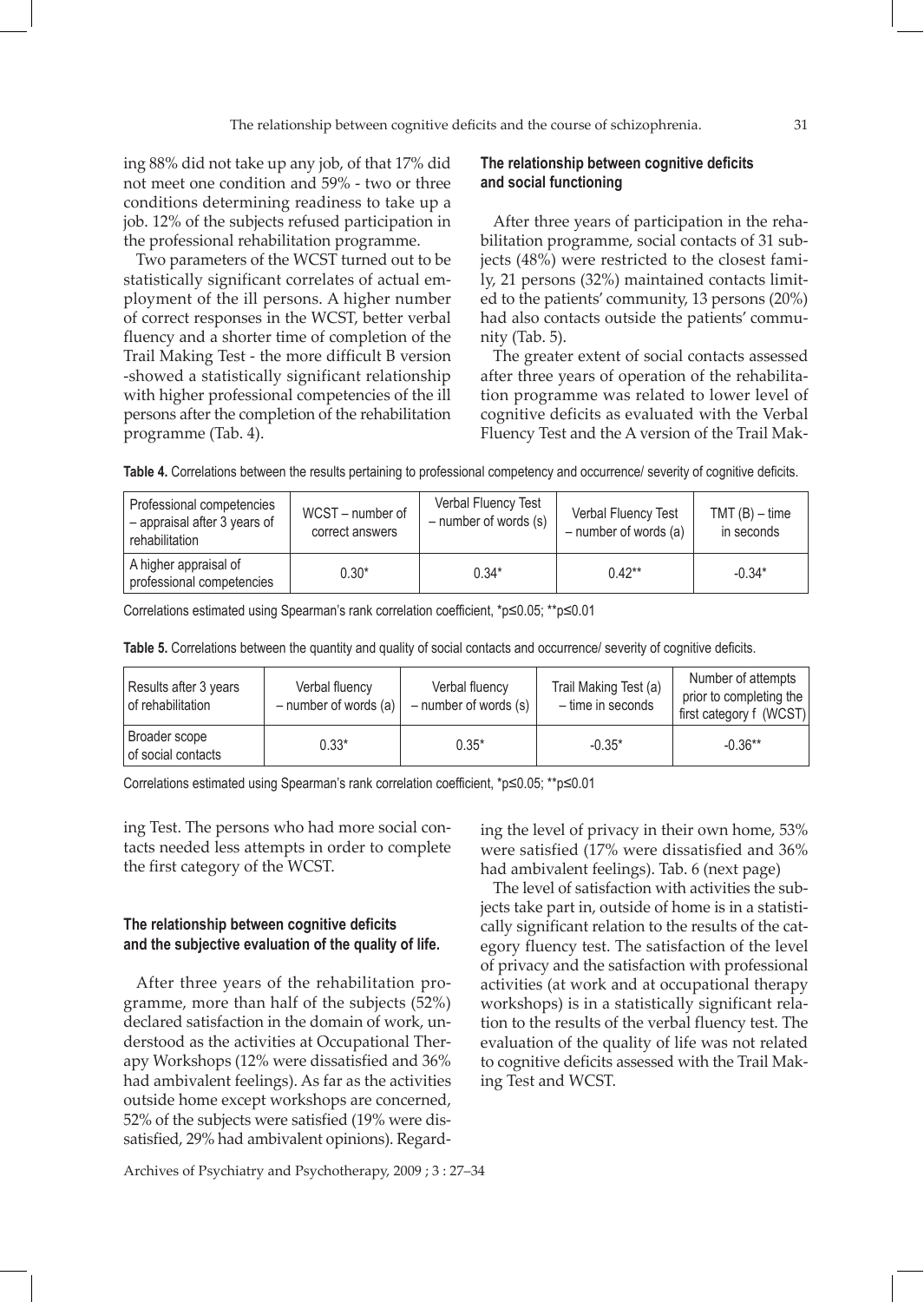ing 88% did not take up any job, of that 17% did not meet one condition and 59% - two or three conditions determining readiness to take up a job. 12% of the subjects refused participation in the professional rehabilitation programme.

Two parameters of the WCST turned out to be statistically significant correlates of actual employment of the ill persons. A higher number of correct responses in the WCST, better verbal fluency and a shorter time of completion of the Trail Making Test - the more difficult B version -showed a statistically significant relationship with higher professional competencies of the ill persons after the completion of the rehabilitation programme (Tab. 4).

## **The relationship between cognitive deficits and social functioning**

After three years of participation in the rehabilitation programme, social contacts of 31 subjects (48%) were restricted to the closest family, 21 persons (32%) maintained contacts limited to the patients' community, 13 persons (20%) had also contacts outside the patients' community (Tab. 5).

The greater extent of social contacts assessed after three years of operation of the rehabilitation programme was related to lower level of cognitive deficits as evaluated with the Verbal Fluency Test and the A version of the Trail Mak-

| Professional competencies<br>- appraisal after 3 years of<br>rehabilitation | WCST - number of<br>correct answers | Verbal Fluency Test<br>$-$ number of words $(s)$ | Verbal Fluency Test<br>$-$ number of words (a) | $TMT(B) - time$<br>in seconds |
|-----------------------------------------------------------------------------|-------------------------------------|--------------------------------------------------|------------------------------------------------|-------------------------------|
| A higher appraisal of<br>professional competencies                          | $0.30*$                             | $0.34*$                                          | $0.42**$                                       | $-0.34*$                      |

Correlations estimated using Spearman's rank correlation coefficient, \*p≤0.05; \*\*p≤0.01

**Table 5.** Correlations between the quantity and quality of social contacts and occurrence/ severity of cognitive deficits.

| Results after 3 years<br>of rehabilitation | Verbal fluency<br>$-$ number of words (a) | Verbal fluency<br>$-$ number of words $(s)$ | Trail Making Test (a)<br>- time in seconds | Number of attempts<br>prior to completing the<br>first category f (WCST) |
|--------------------------------------------|-------------------------------------------|---------------------------------------------|--------------------------------------------|--------------------------------------------------------------------------|
| Broader scope<br>of social contacts        | $0.33*$                                   | $0.35*$                                     | $-0.35*$                                   | $-0.36**$                                                                |

Correlations estimated using Spearman's rank correlation coefficient, \*p≤0.05; \*\*p≤0.01

ing Test. The persons who had more social contacts needed less attempts in order to complete the first category of the WCST.

### **The relationship between cognitive deficits and the subjective evaluation of the quality of life.**

After three years of the rehabilitation programme, more than half of the subjects (52%) declared satisfaction in the domain of work, understood as the activities at Occupational Therapy Workshops (12% were dissatisfied and 36% had ambivalent feelings). As far as the activities outside home except workshops are concerned, 52% of the subjects were satisfied (19% were dissatisfied, 29% had ambivalent opinions). Regarding the level of privacy in their own home, 53% were satisfied (17% were dissatisfied and 36% had ambivalent feelings). Tab. 6 (next page)

The level of satisfaction with activities the subjects take part in, outside of home is in a statistically significant relation to the results of the category fluency test. The satisfaction of the level of privacy and the satisfaction with professional activities (at work and at occupational therapy workshops) is in a statistically significant relation to the results of the verbal fluency test. The evaluation of the quality of life was not related to cognitive deficits assessed with the Trail Making Test and WCST.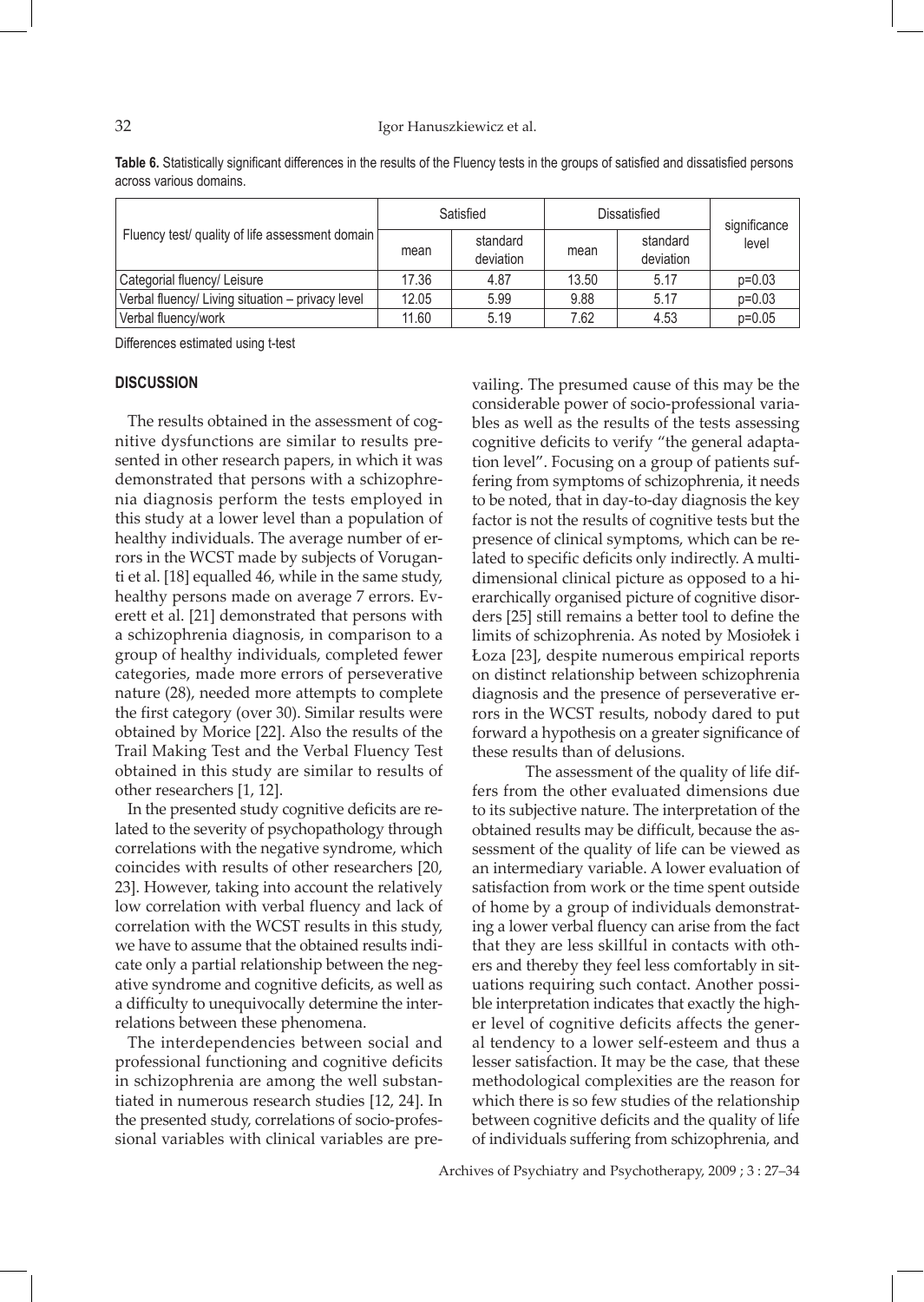#### 32 Igor Hanuszkiewicz et al.

**Table 6.** Statistically significant differences in the results of the Fluency tests in the groups of satisfied and dissatisfied persons across various domains.

| Fluency test/ quality of life assessment domain  | Satisfied |                       | Dissatisfied |                       | significance |
|--------------------------------------------------|-----------|-----------------------|--------------|-----------------------|--------------|
|                                                  | mean      | standard<br>deviation | mean         | standard<br>deviation | level        |
| Categorial fluency/ Leisure                      | 17.36     | 4.87                  | 13.50        | 5.17                  | $p=0.03$     |
| Verbal fluency/ Living situation - privacy level | 12.05     | 5.99                  | 9.88         | 5.17                  | $p=0.03$     |
| Verbal fluency/work                              | 11.60     | 5.19                  | 7.62         | 4.53                  | $p=0.05$     |

Differences estimated using t-test

### **DISCUSSION**

The results obtained in the assessment of cognitive dysfunctions are similar to results presented in other research papers, in which it was demonstrated that persons with a schizophrenia diagnosis perform the tests employed in this study at a lower level than a population of healthy individuals. The average number of errors in the WCST made by subjects of Voruganti et al. [18] equalled 46, while in the same study, healthy persons made on average 7 errors. Everett et al. [21] demonstrated that persons with a schizophrenia diagnosis, in comparison to a group of healthy individuals, completed fewer categories, made more errors of perseverative nature (28), needed more attempts to complete the first category (over 30). Similar results were obtained by Morice [22]. Also the results of the Trail Making Test and the Verbal Fluency Test obtained in this study are similar to results of other researchers [1, 12].

In the presented study cognitive deficits are related to the severity of psychopathology through correlations with the negative syndrome, which coincides with results of other researchers [20, 23]. However, taking into account the relatively low correlation with verbal fluency and lack of correlation with the WCST results in this study, we have to assume that the obtained results indicate only a partial relationship between the negative syndrome and cognitive deficits, as well as a difficulty to unequivocally determine the interrelations between these phenomena.

The interdependencies between social and professional functioning and cognitive deficits in schizophrenia are among the well substantiated in numerous research studies [12, 24]. In the presented study, correlations of socio-professional variables with clinical variables are prevailing. The presumed cause of this may be the considerable power of socio-professional variables as well as the results of the tests assessing cognitive deficits to verify "the general adaptation level". Focusing on a group of patients suffering from symptoms of schizophrenia, it needs to be noted, that in day-to-day diagnosis the key factor is not the results of cognitive tests but the presence of clinical symptoms, which can be related to specific deficits only indirectly. A multidimensional clinical picture as opposed to a hierarchically organised picture of cognitive disorders [25] still remains a better tool to define the limits of schizophrenia. As noted by Mosiołek i Łoza [23], despite numerous empirical reports on distinct relationship between schizophrenia diagnosis and the presence of perseverative errors in the WCST results, nobody dared to put forward a hypothesis on a greater significance of these results than of delusions.

The assessment of the quality of life differs from the other evaluated dimensions due to its subjective nature. The interpretation of the obtained results may be difficult, because the assessment of the quality of life can be viewed as an intermediary variable. A lower evaluation of satisfaction from work or the time spent outside of home by a group of individuals demonstrating a lower verbal fluency can arise from the fact that they are less skillful in contacts with others and thereby they feel less comfortably in situations requiring such contact. Another possible interpretation indicates that exactly the higher level of cognitive deficits affects the general tendency to a lower self-esteem and thus a lesser satisfaction. It may be the case, that these methodological complexities are the reason for which there is so few studies of the relationship between cognitive deficits and the quality of life of individuals suffering from schizophrenia, and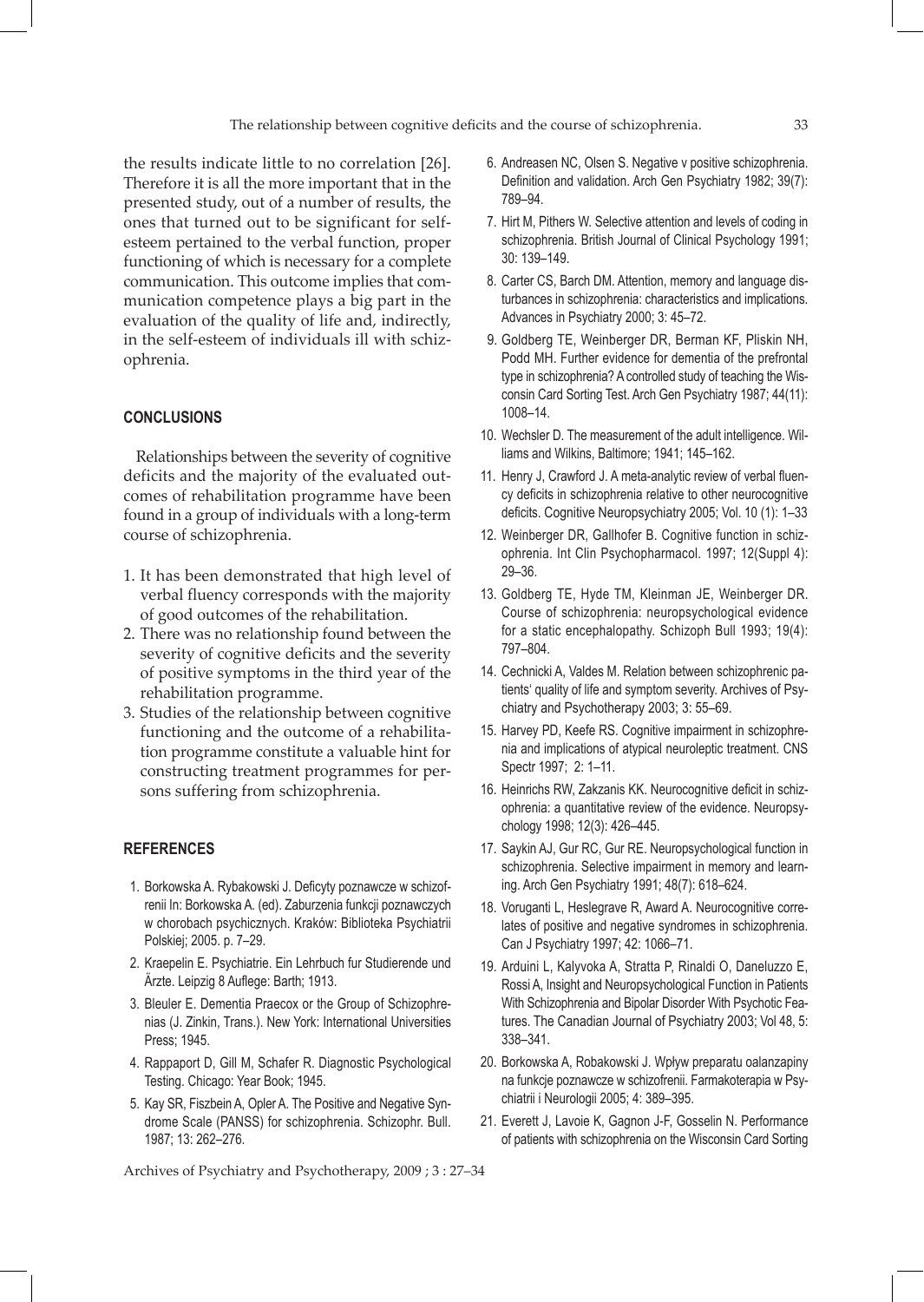the results indicate little to no correlation [26]. Therefore it is all the more important that in the presented study, out of a number of results, the ones that turned out to be significant for selfesteem pertained to the verbal function, proper functioning of which is necessary for a complete communication. This outcome implies that communication competence plays a big part in the evaluation of the quality of life and, indirectly, in the self-esteem of individuals ill with schizophrenia.

# **CONCLUSIONS**

Relationships between the severity of cognitive deficits and the majority of the evaluated outcomes of rehabilitation programme have been found in a group of individuals with a long-term course of schizophrenia.

- 1. It has been demonstrated that high level of verbal fluency corresponds with the majority of good outcomes of the rehabilitation.
- 2. There was no relationship found between the severity of cognitive deficits and the severity of positive symptoms in the third year of the rehabilitation programme.
- 3. Studies of the relationship between cognitive functioning and the outcome of a rehabilitation programme constitute a valuable hint for constructing treatment programmes for persons suffering from schizophrenia.

# **REFERENCES**

- 1. Borkowska A. Rybakowski J. Deficyty poznawcze w schizofrenii In: Borkowska A. (ed). Zaburzenia funkcji poznawczych w chorobach psychicznych. Kraków: Biblioteka Psychiatrii Polskiej; 2005. p. 7–29.
- 2. Kraepelin E. Psychiatrie. Ein Lehrbuch fur Studierende und Ärzte. Leipzig 8 Auflege: Barth; 1913.
- 3. Bleuler E. Dementia Praecox or the Group of Schizophrenias (J. Zinkin, Trans.). New York: International Universities Press; 1945.
- 4. Rappaport D, Gill M, Schafer R. Diagnostic Psychological Testing. Chicago: Year Book; 1945.
- 5. Kay SR, Fiszbein A, Opler A. The Positive and Negative Syndrome Scale (PANSS) for schizophrenia. Schizophr. Bull. 1987; 13: 262–276.

 6. Andreasen NC, Olsen S. Negative v positive schizophrenia. Definition and validation. Arch Gen Psychiatry 1982; 39(7): 789–94.

- 7. Hirt M, Pithers W. Selective attention and levels of coding in schizophrenia. British Journal of Clinical Psychology 1991; 30: 139–149.
- 8. Carter CS, Barch DM. Attention, memory and language disturbances in schizophrenia: characteristics and implications. Advances in Psychiatry 2000; 3: 45–72.
- 9. Goldberg TE, Weinberger DR, Berman KF, Pliskin NH, Podd MH. Further evidence for dementia of the prefrontal type in schizophrenia? A controlled study of teaching the Wisconsin Card Sorting Test. Arch Gen Psychiatry 1987; 44(11): 1008–14.
- 10. Wechsler D. The measurement of the adult intelligence. Williams and Wilkins, Baltimore; 1941; 145–162.
- 11. Henry J, Crawford J. A meta-analytic review of verbal fluency deficits in schizophrenia relative to other neurocognitive deficits. Cognitive Neuropsychiatry 2005; Vol. 10 (1): 1–33
- 12. Weinberger DR, Gallhofer B. Cognitive function in schizophrenia. Int Clin Psychopharmacol. 1997; 12(Suppl 4): 29–36.
- 13. Goldberg TE, Hyde TM, Kleinman JE, Weinberger DR. Course of schizophrenia: neuropsychological evidence for a static encephalopathy. Schizoph Bull 1993; 19(4): 797–804.
- 14. Cechnicki A, Valdes M. Relation between schizophrenic patients' quality of life and symptom severity. Archives of Psychiatry and Psychotherapy 2003; 3: 55–69.
- 15. Harvey PD, Keefe RS. Cognitive impairment in schizophrenia and implications of atypical neuroleptic treatment. CNS Spectr 1997; 2: 1–11.
- 16. Heinrichs RW, Zakzanis KK. Neurocognitive deficit in schizophrenia: a quantitative review of the evidence. Neuropsychology 1998; 12(3): 426–445.
- 17. Saykin AJ, Gur RC, Gur RE. Neuropsychological function in schizophrenia. Selective impairment in memory and learning. Arch Gen Psychiatry 1991; 48(7): 618–624.
- 18. Voruganti L, Heslegrave R, Award A. Neurocognitive correlates of positive and negative syndromes in schizophrenia. Can J Psychiatry 1997; 42: 1066–71.
- 19. Arduini L, Kalyvoka A, Stratta P, Rinaldi O, Daneluzzo E, Rossi A, Insight and Neuropsychological Function in Patients With Schizophrenia and Bipolar Disorder With Psychotic Features. The Canadian Journal of Psychiatry 2003; Vol 48, 5: 338–341.
- 20. Borkowska A, Robakowski J. Wpływ preparatu oalanzapiny na funkcje poznawcze w schizofrenii. Farmakoterapia w Psychiatrii i Neurologii 2005; 4: 389–395.
- 21. Everett J, Lavoie K, Gagnon J-F, Gosselin N. Performance of patients with schizophrenia on the Wisconsin Card Sorting